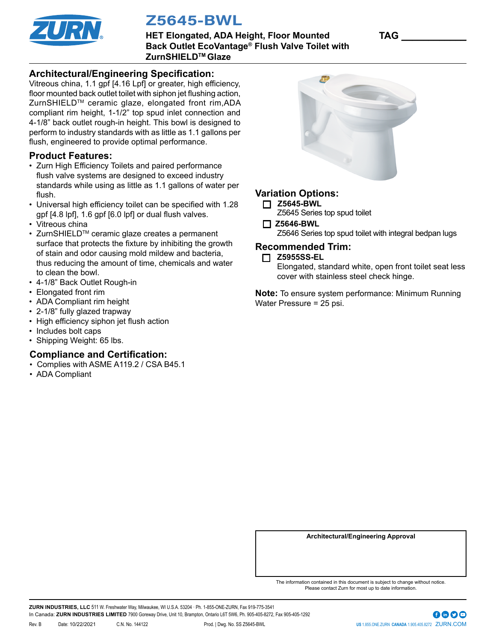

# Z5645-BWL

**HET Elongated, ADA Height, Floor Mounted TAG \_\_\_\_\_\_\_\_\_\_\_\_ Back Outlet EcoVantage® Flush Valve Toilet with ZurnSHIELDTM Glaze**

#### **Architectural/Engineering Specification:**

Vitreous china, 1.1 gpf [4.16 Lpf] or greater, high efficiency, floor mounted back outlet toilet with siphon jet flushing action, ZurnSHIELDTM ceramic glaze, elongated front rim,ADA compliant rim height, 1-1/2" top spud inlet connection and 4-1/8" back outlet rough-in height. This bowl is designed to perform to industry standards with as little as 1.1 gallons per flush, engineered to provide optimal performance.

#### **Product Features:**

- Zurn High Efficiency Toilets and paired performance flush valve systems are designed to exceed industry standards while using as little as 1.1 gallons of water per flush.
- Universal high efficiency toilet can be specified with 1.28 gpf [4.8 lpf], 1.6 gpf [6.0 lpf] or dual flush valves.
- Vitreous china
- ZurnSHIELDTM ceramic glaze creates a permanent surface that protects the fixture by inhibiting the growth of stain and odor causing mold mildew and bacteria, thus reducing the amount of time, chemicals and water to clean the bowl.
- 4-1/8" Back Outlet Rough-in
- Elongated front rim
- ADA Compliant rim height
- 2-1/8" fully glazed trapway
- High efficiency siphon jet flush action
- Includes bolt caps
- Shipping Weight: 65 lbs.

#### **Compliance and Certification:**

- Complies with ASME A119.2 / CSA B45.1
- ADA Compliant



### **Variation Options:**

- **Z5645-BWL**
	- Z5645 Series top spud toilet
- **Z5646-BWL** Z5646 Series top spud toilet with integral bedpan lugs

#### **Recommended Trim:**

**Z5955SS-EL**

Elongated, standard white, open front toilet seat less cover with stainless steel check hinge.

**Note:** To ensure system performance: Minimum Running Water Pressure = 25 psi.

**Architectural/Engineering Approval**

The information contained in this document is subject to change without notice. Please contact Zurn for most up to date information.